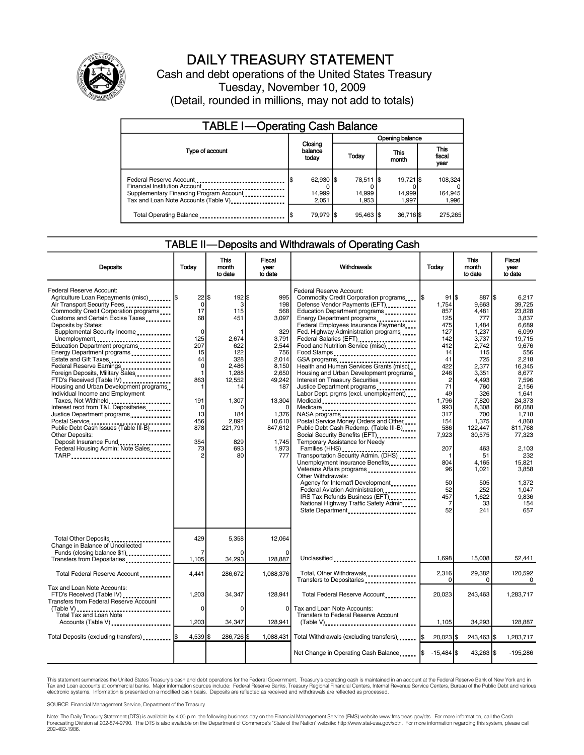

# DAILY TREASURY STATEMENT

Cash and debt operations of the United States Treasury Tuesday, November 10, 2009 (Detail, rounded in millions, may not add to totals)

| <b>TABLE I-Operating Cash Balance</b>                                                                                                       |                              |  |                                |  |                              |  |                               |
|---------------------------------------------------------------------------------------------------------------------------------------------|------------------------------|--|--------------------------------|--|------------------------------|--|-------------------------------|
|                                                                                                                                             |                              |  | Opening balance                |  |                              |  |                               |
| Type of account                                                                                                                             | Closing<br>balance<br>today  |  | Today                          |  | This<br>month                |  | <b>This</b><br>fiscal<br>year |
| Federal Reserve Account<br>Financial Institution Account<br>Supplementary Financing Program Account<br>Tax and Loan Note Accounts (Table V) | 62,930 \$<br>14,999<br>2.051 |  | 78,511   \$<br>14,999<br>1.953 |  | 19.721 \$<br>14,999<br>1.997 |  | 108.324<br>164,945<br>1,996   |
| Total Operating Balance                                                                                                                     | 79,979 \$                    |  | $95.463$ S                     |  | 36,716 \$                    |  | 275.265                       |

#### TABLE II—Deposits and Withdrawals of Operating Cash

| Deposits                                                                                                                                                                                                                                                                                                                                                                                                                                                                                                                                                                                                                                                                                                                                                                   | Todav                                                                                                                                                 | <b>This</b><br>month<br>to date                                                                                                                               | <b>Fiscal</b><br>vear<br>to date                                                                                                                                        | Withdrawals                                                                                                                                                                                                                                                                                                                                                                                                                                                                                                                                                                                                                                                                                                                                                                                                                                                                                                                                                                                                                          | Today                                                                                                                                                                                                             | <b>This</b><br>month<br>to date                                                                                                                                                                                                                      | <b>Fiscal</b><br>vear<br>to date                                                                                                                                                                                                                                             |
|----------------------------------------------------------------------------------------------------------------------------------------------------------------------------------------------------------------------------------------------------------------------------------------------------------------------------------------------------------------------------------------------------------------------------------------------------------------------------------------------------------------------------------------------------------------------------------------------------------------------------------------------------------------------------------------------------------------------------------------------------------------------------|-------------------------------------------------------------------------------------------------------------------------------------------------------|---------------------------------------------------------------------------------------------------------------------------------------------------------------|-------------------------------------------------------------------------------------------------------------------------------------------------------------------------|--------------------------------------------------------------------------------------------------------------------------------------------------------------------------------------------------------------------------------------------------------------------------------------------------------------------------------------------------------------------------------------------------------------------------------------------------------------------------------------------------------------------------------------------------------------------------------------------------------------------------------------------------------------------------------------------------------------------------------------------------------------------------------------------------------------------------------------------------------------------------------------------------------------------------------------------------------------------------------------------------------------------------------------|-------------------------------------------------------------------------------------------------------------------------------------------------------------------------------------------------------------------|------------------------------------------------------------------------------------------------------------------------------------------------------------------------------------------------------------------------------------------------------|------------------------------------------------------------------------------------------------------------------------------------------------------------------------------------------------------------------------------------------------------------------------------|
| Federal Reserve Account:<br>Agriculture Loan Repayments (misc)  \$<br>Air Transport Security Fees<br>Commodity Credit Corporation programs<br>Customs and Certain Excise Taxes<br>Deposits by States:<br>Supplemental Security Income<br>Unemployment<br>Education Department programs<br>Energy Department programs<br>Estate and Gift Taxes<br>Federal Reserve Earnings<br>Foreign Deposits, Military Sales<br>FTD's Received (Table IV)<br>Housing and Urban Development programs<br>Individual Income and Employment<br>Taxes, Not Withheld<br>Interest recd from T&L Depositaries<br>Justice Department programs<br>Postal Service<br>Public Debt Cash Issues (Table III-B)<br>Other Deposits:<br>Deposit Insurance Fund<br>Federal Housing Admin: Note Sales<br>TARP | 22<br>$\mathbf 0$<br>17<br>68<br>$\Omega$<br>125<br>207<br>15<br>44<br>$\mathbf 0$<br>1<br>863<br>191<br>$\mathbf 0$<br>13<br>456<br>878<br>354<br>73 | l\$<br>192 \$<br>3<br>115<br>451<br>2,674<br>622<br>122<br>328<br>2,486<br>1,288<br>12,552<br>14<br>1,307<br>O<br>184<br>2,892<br>221.791<br>829<br>693<br>80 | 995<br>198<br>568<br>3,097<br>329<br>3,791<br>2,544<br>756<br>2,014<br>8,150<br>2,650<br>49,242<br>187<br>13,304<br>1,376<br>10,610<br>847,612<br>1.745<br>1,973<br>777 | Federal Reserve Account:<br>Commodity Credit Corporation programs<br>Defense Vendor Payments (EFT)<br>Education Department programs<br>Energy Department programs<br>Federal Employees Insurance Payments<br>Fed. Highway Administration programs<br>Federal Salaries (EFT)<br>Food and Nutrition Service (misc)<br>Food Stamps<br>GSA programs<br>Health and Human Services Grants (misc)<br>Housing and Urban Development programs<br>Interest on Treasury Securities<br>Justice Department programs<br>Labor Dept. prgms (excl. unemployment)<br>Medicaid<br>Medicare<br>Postal Service Money Orders and Other<br>Public Debt Cash Redemp. (Table III-B)<br>Social Security Benefits (EFT)<br>Temporary Assistance for Needy<br>Transportation Security Admin. (DHS)<br>Unemployment Insurance Benefits<br>Veterans Affairs programs<br>Other Withdrawals:<br>Agency for Internat'l Development<br>Federal Aviation Administration<br>IRS Tax Refunds Business (EFT)<br>National Highway Traffic Safety Admin<br>State Department | $91$ S<br>1.754<br>857<br>125<br>475<br>127<br>142<br>412<br>14<br>41<br>422<br>246<br>$\overline{c}$<br>71<br>49<br>1,796<br>993<br>317<br>154<br>586<br>7,923<br>207<br>804<br>96<br>50<br>52<br>457<br>7<br>52 | 887 \$<br>9.663<br>4,481<br>777<br>1,484<br>1,237<br>3,737<br>2.742<br>115<br>725<br>2,377<br>3,351<br>4,493<br>760<br>326<br>7,820<br>8,308<br>700<br>1,375<br>122.447<br>30.575<br>463<br>51<br>4.165<br>1,021<br>505<br>252<br>1,622<br>33<br>241 | 6.217<br>39.725<br>23,828<br>3,837<br>6.689<br>6.099<br>19.715<br>9.676<br>556<br>2,218<br>16,345<br>8.677<br>7.596<br>2.156<br>1.641<br>24,373<br>66,088<br>1,718<br>4.868<br>811.768<br>77.323<br>2,103<br>232<br>15.821<br>3.858<br>1.372<br>1.047<br>9.836<br>154<br>657 |
| Total Other Deposits<br>Change in Balance of Uncollected<br>Funds (closing balance \$1)                                                                                                                                                                                                                                                                                                                                                                                                                                                                                                                                                                                                                                                                                    | 429<br>7                                                                                                                                              | 5,358                                                                                                                                                         | 12,064<br>O                                                                                                                                                             |                                                                                                                                                                                                                                                                                                                                                                                                                                                                                                                                                                                                                                                                                                                                                                                                                                                                                                                                                                                                                                      |                                                                                                                                                                                                                   |                                                                                                                                                                                                                                                      |                                                                                                                                                                                                                                                                              |
| Transfers from Depositaries                                                                                                                                                                                                                                                                                                                                                                                                                                                                                                                                                                                                                                                                                                                                                | 1,105                                                                                                                                                 | 34,293                                                                                                                                                        | 128,887                                                                                                                                                                 | Unclassified                                                                                                                                                                                                                                                                                                                                                                                                                                                                                                                                                                                                                                                                                                                                                                                                                                                                                                                                                                                                                         | 1.698                                                                                                                                                                                                             | 15,008                                                                                                                                                                                                                                               | 52,441                                                                                                                                                                                                                                                                       |
| Total Federal Reserve Account                                                                                                                                                                                                                                                                                                                                                                                                                                                                                                                                                                                                                                                                                                                                              | 4,441                                                                                                                                                 | 286,672                                                                                                                                                       | 1,088,376                                                                                                                                                               | Total, Other Withdrawals<br>Transfers to Depositaries                                                                                                                                                                                                                                                                                                                                                                                                                                                                                                                                                                                                                                                                                                                                                                                                                                                                                                                                                                                | 2,316<br>$\Omega$                                                                                                                                                                                                 | 29,382<br>$\Omega$                                                                                                                                                                                                                                   | 120,592<br>0                                                                                                                                                                                                                                                                 |
| Tax and Loan Note Accounts:<br>FTD's Received (Table IV)<br>Transfers from Federal Reserve Account<br>(Table V)                                                                                                                                                                                                                                                                                                                                                                                                                                                                                                                                                                                                                                                            | 1,203<br>$\Omega$                                                                                                                                     | 34,347<br>$\Omega$                                                                                                                                            | 128.941<br>0                                                                                                                                                            | Total Federal Reserve Account<br>Tax and Loan Note Accounts:                                                                                                                                                                                                                                                                                                                                                                                                                                                                                                                                                                                                                                                                                                                                                                                                                                                                                                                                                                         | 20.023                                                                                                                                                                                                            | 243,463                                                                                                                                                                                                                                              | 1,283,717                                                                                                                                                                                                                                                                    |
| Total Tax and Loan Note<br>Accounts (Table V)                                                                                                                                                                                                                                                                                                                                                                                                                                                                                                                                                                                                                                                                                                                              | 1,203                                                                                                                                                 | 34,347                                                                                                                                                        | 128,941                                                                                                                                                                 | <b>Transfers to Federal Reserve Account</b><br>$(Table V)$ ,                                                                                                                                                                                                                                                                                                                                                                                                                                                                                                                                                                                                                                                                                                                                                                                                                                                                                                                                                                         | 1,105                                                                                                                                                                                                             | 34,293                                                                                                                                                                                                                                               | 128,887                                                                                                                                                                                                                                                                      |
| Total Deposits (excluding transfers) \$                                                                                                                                                                                                                                                                                                                                                                                                                                                                                                                                                                                                                                                                                                                                    | 4,539                                                                                                                                                 | 286,726 \$                                                                                                                                                    | 1,088,431                                                                                                                                                               | Total Withdrawals (excluding transfers)                                                                                                                                                                                                                                                                                                                                                                                                                                                                                                                                                                                                                                                                                                                                                                                                                                                                                                                                                                                              | $20,023$ \$<br><b>IS</b>                                                                                                                                                                                          | 243,463 \$                                                                                                                                                                                                                                           | 1,283,717                                                                                                                                                                                                                                                                    |
|                                                                                                                                                                                                                                                                                                                                                                                                                                                                                                                                                                                                                                                                                                                                                                            |                                                                                                                                                       |                                                                                                                                                               |                                                                                                                                                                         | Net Change in Operating Cash Balance                                                                                                                                                                                                                                                                                                                                                                                                                                                                                                                                                                                                                                                                                                                                                                                                                                                                                                                                                                                                 | $-15,484$ \$                                                                                                                                                                                                      | 43,263 \$                                                                                                                                                                                                                                            | $-195,286$                                                                                                                                                                                                                                                                   |

This statement summarizes the United States Treasury's cash and debt operations for the Federal Government. Treasury's operating cash is maintained in an account at the Federal Reserve Bank of New York and in Tax and Loan accounts at commercial banks. Major information sources include: Federal Reserve Banks, Treasury Regional Financial Centers, Internal Revenue Service Centers, Bureau of the Public Debt and various<br>electronic s

SOURCE: Financial Management Service, Department of the Treasury

Note: The Daily Treasury Statement (DTS) is available by 4:00 p.m. the following business day on the Financial Management Service (FMS) website www.fms.treas.gov/dts. For more information, call the Cash<br>Forecasting Divisio 202-482-1986.